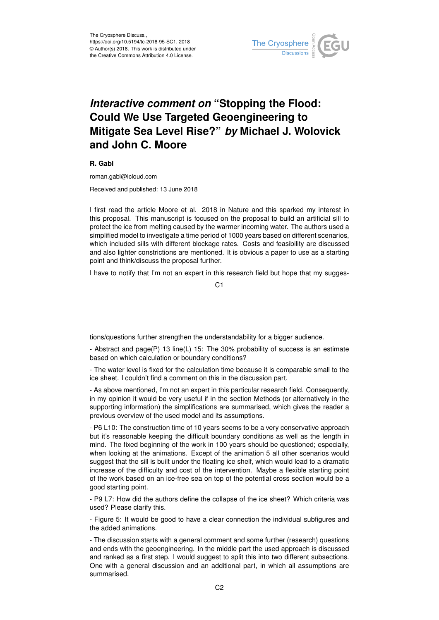

## *Interactive comment on* **"Stopping the Flood: Could We Use Targeted Geoengineering to Mitigate Sea Level Rise?"** *by* **Michael J. Wolovick and John C. Moore**

**R. Gabl**

roman.gabl@icloud.com

Received and published: 13 June 2018

I first read the article Moore et al. 2018 in Nature and this sparked my interest in this proposal. This manuscript is focused on the proposal to build an artificial sill to protect the ice from melting caused by the warmer incoming water. The authors used a simplified model to investigate a time period of 1000 years based on different scenarios, which included sills with different blockage rates. Costs and feasibility are discussed and also lighter constrictions are mentioned. It is obvious a paper to use as a starting point and think/discuss the proposal further.

I have to notify that I'm not an expert in this research field but hope that my sugges-

C1

tions/questions further strengthen the understandability for a bigger audience.

- Abstract and page(P) 13 line(L) 15: The 30% probability of success is an estimate based on which calculation or boundary conditions?

- The water level is fixed for the calculation time because it is comparable small to the ice sheet. I couldn't find a comment on this in the discussion part.

- As above mentioned, I'm not an expert in this particular research field. Consequently, in my opinion it would be very useful if in the section Methods (or alternatively in the supporting information) the simplifications are summarised, which gives the reader a previous overview of the used model and its assumptions.

- P6 L10: The construction time of 10 years seems to be a very conservative approach but it's reasonable keeping the difficult boundary conditions as well as the length in mind. The fixed beginning of the work in 100 years should be questioned; especially, when looking at the animations. Except of the animation 5 all other scenarios would suggest that the sill is built under the floating ice shelf, which would lead to a dramatic increase of the difficulty and cost of the intervention. Maybe a flexible starting point of the work based on an ice-free sea on top of the potential cross section would be a good starting point.

- P9 L7: How did the authors define the collapse of the ice sheet? Which criteria was used? Please clarify this.

- Figure 5: It would be good to have a clear connection the individual subfigures and the added animations.

- The discussion starts with a general comment and some further (research) questions and ends with the geoengineering. In the middle part the used approach is discussed and ranked as a first step. I would suggest to split this into two different subsections. One with a general discussion and an additional part, in which all assumptions are summarised.